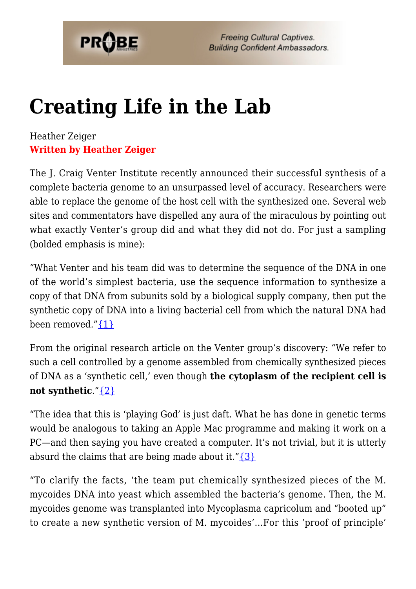

# **[Creating Life in the Lab](https://probe.org/creating-life-in-the-lab/)**

#### Heather Zeiger **Written by Heather Zeiger**

The J. Craig Venter Institute recently announced their successful synthesis of a complete bacteria genome to an unsurpassed level of accuracy. Researchers were able to replace the genome of the host cell with the synthesized one. Several web sites and commentators have dispelled any aura of the miraculous by pointing out what exactly Venter's group did and what they did not do. For just a sampling (bolded emphasis is mine):

"What Venter and his team did was to determine the sequence of the DNA in one of the world's simplest bacteria, use the sequence information to synthesize a copy of that DNA from subunits sold by a biological supply company, then put the synthetic copy of DNA into a living bacterial cell from which the natural DNA had been removed." $\{1\}$ 

From the original research article on the Venter group's discovery: "We refer to such a cell controlled by a genome assembled from chemically synthesized pieces of DNA as a 'synthetic cell,' even though **the cytoplasm of the recipient cell is not synthetic**."[{2}](#page-6-1)

"The idea that this is 'playing God' is just daft. What he has done in genetic terms would be analogous to taking an Apple Mac programme and making it work on a PC—and then saying you have created a computer. It's not trivial, but it is utterly absurd the claims that are being made about it." $\{3\}$ 

"To clarify the facts, 'the team put chemically synthesized pieces of the M. mycoides DNA into yeast which assembled the bacteria's genome. Then, the M. mycoides genome was transplanted into Mycoplasma capricolum and "booted up" to create a new synthetic version of M. mycoides'…For this 'proof of principle'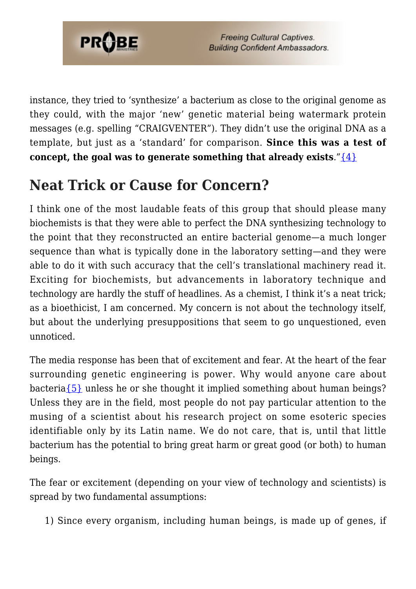

instance, they tried to 'synthesize' a bacterium as close to the original genome as they could, with the major 'new' genetic material being watermark protein messages (e.g. spelling "CRAIGVENTER"). They didn't use the original DNA as a template, but just as a 'standard' for comparison. **Since this was a test of concept, the goal was to generate something that already exists."** $\{4\}$ 

#### **Neat Trick or Cause for Concern?**

I think one of the most laudable feats of this group that should please many biochemists is that they were able to perfect the DNA synthesizing technology to the point that they reconstructed an entire bacterial genome—a much longer sequence than what is typically done in the laboratory setting—and they were able to do it with such accuracy that the cell's translational machinery read it. Exciting for biochemists, but advancements in laboratory technique and technology are hardly the stuff of headlines. As a chemist, I think it's a neat trick; as a bioethicist, I am concerned. My concern is not about the technology itself, but about the underlying presuppositions that seem to go unquestioned, even unnoticed.

The media response has been that of excitement and fear. At the heart of the fear surrounding genetic engineering is power. Why would anyone care about bacteri[a{5}](#page-6-4) unless he or she thought it implied something about human beings? Unless they are in the field, most people do not pay particular attention to the musing of a scientist about his research project on some esoteric species identifiable only by its Latin name. We do not care, that is, until that little bacterium has the potential to bring great harm or great good (or both) to human beings.

The fear or excitement (depending on your view of technology and scientists) is spread by two fundamental assumptions:

1) Since every organism, including human beings, is made up of genes, if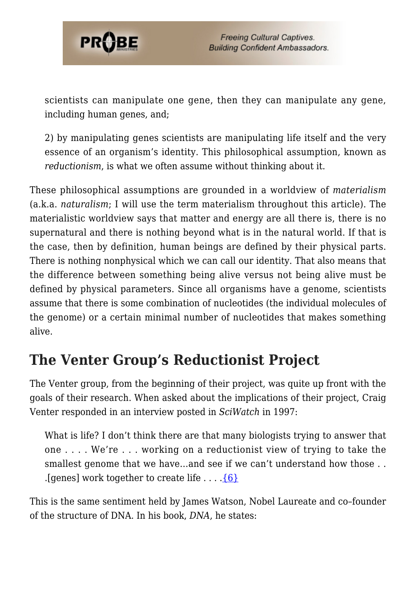

scientists can manipulate one gene, then they can manipulate any gene, including human genes, and;

2) by manipulating genes scientists are manipulating life itself and the very essence of an organism's identity. This philosophical assumption, known as *reductionism*, is what we often assume without thinking about it.

These philosophical assumptions are grounded in a worldview of *materialism* (a.k.a. *naturalism*; I will use the term materialism throughout this article). The materialistic worldview says that matter and energy are all there is, there is no supernatural and there is nothing beyond what is in the natural world. If that is the case, then by definition, human beings are defined by their physical parts. There is nothing nonphysical which we can call our identity. That also means that the difference between something being alive versus not being alive must be defined by physical parameters. Since all organisms have a genome, scientists assume that there is some combination of nucleotides (the individual molecules of the genome) or a certain minimal number of nucleotides that makes something alive.

#### **The Venter Group's Reductionist Project**

The Venter group, from the beginning of their project, was quite up front with the goals of their research. When asked about the implications of their project, Craig Venter responded in an interview posted in *SciWatch* in 1997:

What is life? I don't think there are that many biologists trying to answer that one . . . . We're . . . working on a reductionist view of trying to take the smallest genome that we have...and see if we can't understand how those . . . [genes] work together to create life  $\dots$  . [6]

This is the same sentiment held by James Watson, Nobel Laureate and co–founder of the structure of DNA. In his book, *DNA*, he states: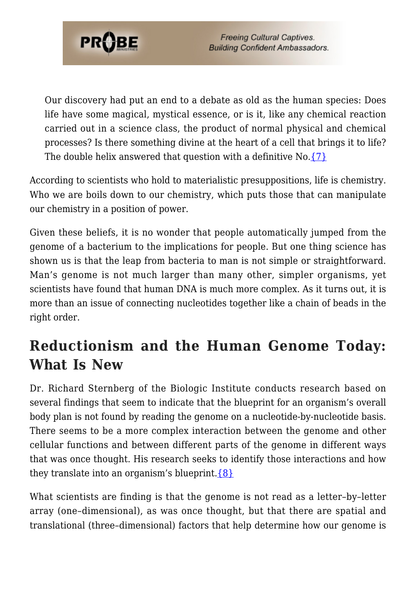

Our discovery had put an end to a debate as old as the human species: Does life have some magical, mystical essence, or is it, like any chemical reaction carried out in a science class, the product of normal physical and chemical processes? Is there something divine at the heart of a cell that brings it to life? The double helix answered that question with a definitive  $No.$  [{7}](#page-6-6)

According to scientists who hold to materialistic presuppositions, life is chemistry. Who we are boils down to our chemistry, which puts those that can manipulate our chemistry in a position of power.

Given these beliefs, it is no wonder that people automatically jumped from the genome of a bacterium to the implications for people. But one thing science has shown us is that the leap from bacteria to man is not simple or straightforward. Man's genome is not much larger than many other, simpler organisms, yet scientists have found that human DNA is much more complex. As it turns out, it is more than an issue of connecting nucleotides together like a chain of beads in the right order.

#### **Reductionism and the Human Genome Today: What Is New**

Dr. Richard Sternberg of the Biologic Institute conducts research based on several findings that seem to indicate that the blueprint for an organism's overall body plan is not found by reading the genome on a nucleotide-by-nucleotide basis. There seems to be a more complex interaction between the genome and other cellular functions and between different parts of the genome in different ways that was once thought. His research seeks to identify those interactions and how they translate into an organism's blueprint.  $\{8\}$ 

What scientists are finding is that the genome is not read as a letter–by–letter array (one–dimensional), as was once thought, but that there are spatial and translational (three–dimensional) factors that help determine how our genome is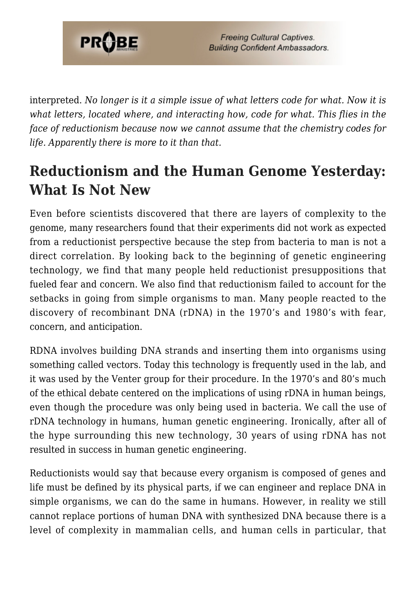

interpreted. *No longer is it a simple issue of what letters code for what. Now it is what letters, located where, and interacting how, code for what. This flies in the face of reductionism because now we cannot assume that the chemistry codes for life. Apparently there is more to it than that.*

### **Reductionism and the Human Genome Yesterday: What Is Not New**

Even before scientists discovered that there are layers of complexity to the genome, many researchers found that their experiments did not work as expected from a reductionist perspective because the step from bacteria to man is not a direct correlation. By looking back to the beginning of genetic engineering technology, we find that many people held reductionist presuppositions that fueled fear and concern. We also find that reductionism failed to account for the setbacks in going from simple organisms to man. Many people reacted to the discovery of recombinant DNA (rDNA) in the 1970's and 1980's with fear, concern, and anticipation.

RDNA involves building DNA strands and inserting them into organisms using something called vectors. Today this technology is frequently used in the lab, and it was used by the Venter group for their procedure. In the 1970's and 80's much of the ethical debate centered on the implications of using rDNA in human beings, even though the procedure was only being used in bacteria. We call the use of rDNA technology in humans, human genetic engineering. Ironically, after all of the hype surrounding this new technology, 30 years of using rDNA has not resulted in success in human genetic engineering.

Reductionists would say that because every organism is composed of genes and life must be defined by its physical parts, if we can engineer and replace DNA in simple organisms, we can do the same in humans. However, in reality we still cannot replace portions of human DNA with synthesized DNA because there is a level of complexity in mammalian cells, and human cells in particular, that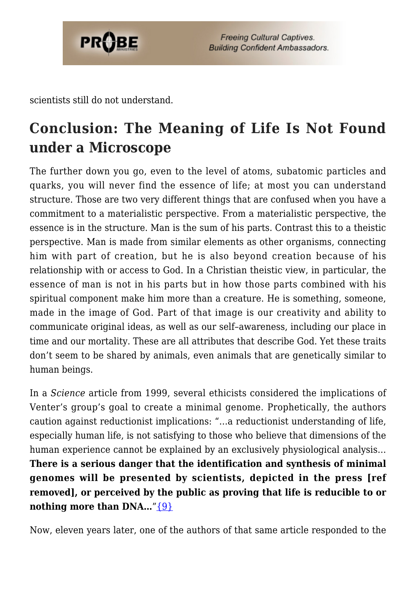

scientists still do not understand.

## **Conclusion: The Meaning of Life Is Not Found under a Microscope**

The further down you go, even to the level of atoms, subatomic particles and quarks, you will never find the essence of life; at most you can understand structure. Those are two very different things that are confused when you have a commitment to a materialistic perspective. From a materialistic perspective, the essence is in the structure. Man is the sum of his parts. Contrast this to a theistic perspective. Man is made from similar elements as other organisms, connecting him with part of creation, but he is also beyond creation because of his relationship with or access to God. In a Christian theistic view, in particular, the essence of man is not in his parts but in how those parts combined with his spiritual component make him more than a creature. He is something, someone, made in the image of God. Part of that image is our creativity and ability to communicate original ideas, as well as our self–awareness, including our place in time and our mortality. These are all attributes that describe God. Yet these traits don't seem to be shared by animals, even animals that are genetically similar to human beings.

In a *Science* article from 1999, several ethicists considered the implications of Venter's group's goal to create a minimal genome. Prophetically, the authors caution against reductionist implications: "…a reductionist understanding of life, especially human life, is not satisfying to those who believe that dimensions of the human experience cannot be explained by an exclusively physiological analysis… **There is a serious danger that the identification and synthesis of minimal genomes will be presented by scientists, depicted in the press [ref removed], or perceived by the public as proving that life is reducible to or nothing more than DNA...**" $\{9\}$ 

Now, eleven years later, one of the authors of that same article responded to the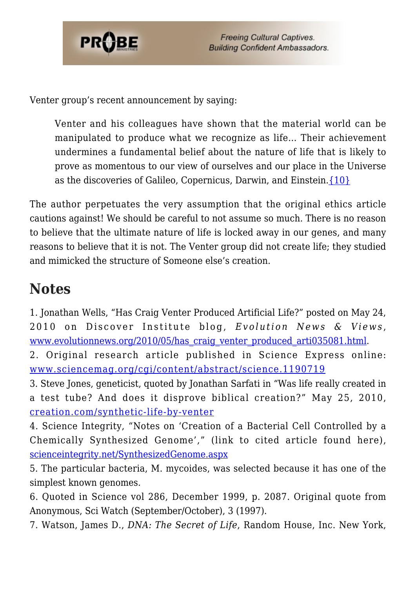

Venter group's recent announcement by saying:

Venter and his colleagues have shown that the material world can be manipulated to produce what we recognize as life… Their achievement undermines a fundamental belief about the nature of life that is likely to prove as momentous to our view of ourselves and our place in the Universe as the discoveries of Galileo, Copernicus, Darwin, and Einstein.[{10}](#page-7-2)

The author perpetuates the very assumption that the original ethics article cautions against! We should be careful to not assume so much. There is no reason to believe that the ultimate nature of life is locked away in our genes, and many reasons to believe that it is not. The Venter group did not create life; they studied and mimicked the structure of Someone else's creation.

#### **Notes**

<span id="page-6-0"></span>1. Jonathan Wells, "Has Craig Venter Produced Artificial Life?" posted on May 24, 2010 on Discover Institute blog, *Evolution News & Views* , [www.evolutionnews.org/2010/05/has\\_craig\\_venter\\_produced\\_arti035081.html.](http://www.evolutionnews.org/2010/05/has_craig_venter_produced_arti035081.html)

<span id="page-6-1"></span>2. Original research article published in Science Express online: [www.sciencemag.org/cgi/content/abstract/science.1190719](http://www.sciencemag.org/cgi/content/abstract/science.1190719)

<span id="page-6-2"></span>3. Steve Jones, geneticist, quoted by Jonathan Sarfati in "Was life really created in a test tube? And does it disprove biblical creation?" May 25, 2010, [creation.com/synthetic-life-by-venter](http://creation.com/synthetic-life-by-venter)

<span id="page-6-3"></span>4. Science Integrity, "Notes on 'Creation of a Bacterial Cell Controlled by a Chemically Synthesized Genome'," (link to cited article found here), [scienceintegrity.net/SynthesizedGenome.aspx](http://scienceintegrity.net/SynthesizedGenome.aspx)

<span id="page-6-4"></span>5. The particular bacteria, M. mycoides, was selected because it has one of the simplest known genomes.

<span id="page-6-5"></span>6. Quoted in Science vol 286, December 1999, p. 2087. Original quote from Anonymous, Sci Watch (September/October), 3 (1997).

<span id="page-6-6"></span>7. Watson, James D., *DNA: The Secret of Life*, Random House, Inc. New York,